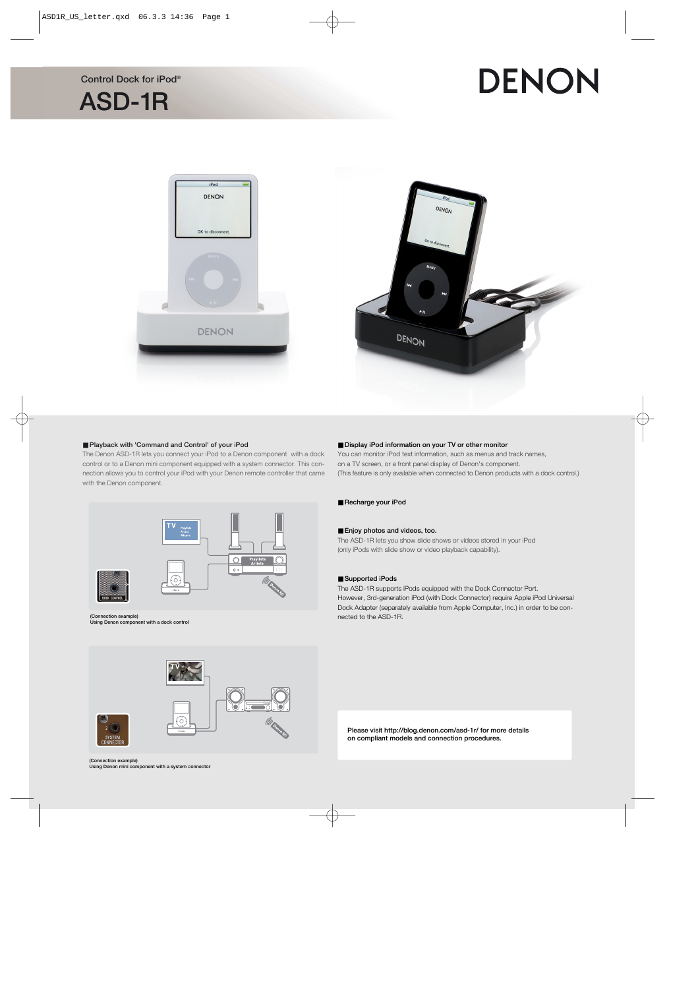

# **DENON**



### ■ **Playback with 'Command and Control' of your iPod**

The Denon ASD-1R lets you connect your iPod to a Denon component with a dock control or to a Denon mini component equipped with a system connector. This connection allows you to control your iPod with your Denon remote controller that came with the Denon component.



nected to the ASD-1R. **(Connection example) Using Denon component with a dock control**



### ■ **Display iPod information on your TV or other monitor**

You can monitor iPod text information, such as menus and track names, on a TV screen, or a front panel display of Denon's component. (This feature is only available when connected to Denon products with a dock control.)

#### ■ **Recharge your iPod**

### ■ **Enjoy photos and videos, too.**

The ASD-1R lets you show slide shows or videos stored in your iPod (only iPods with slide show or video playback capability).

### ■ **Supported iPods**

The ASD-1R supports iPods equipped with the Dock Connector Port. However, 3rd-generation iPod (with Dock Connector) require Apple iPod Universal Dock Adapter (separately available from Apple Computer, Inc.) in order to be con-<br>nected to the ASD-1R.

**Please visit http://blog.denon.com/asd-1r/ for more details on compliant models and connection procedures.**